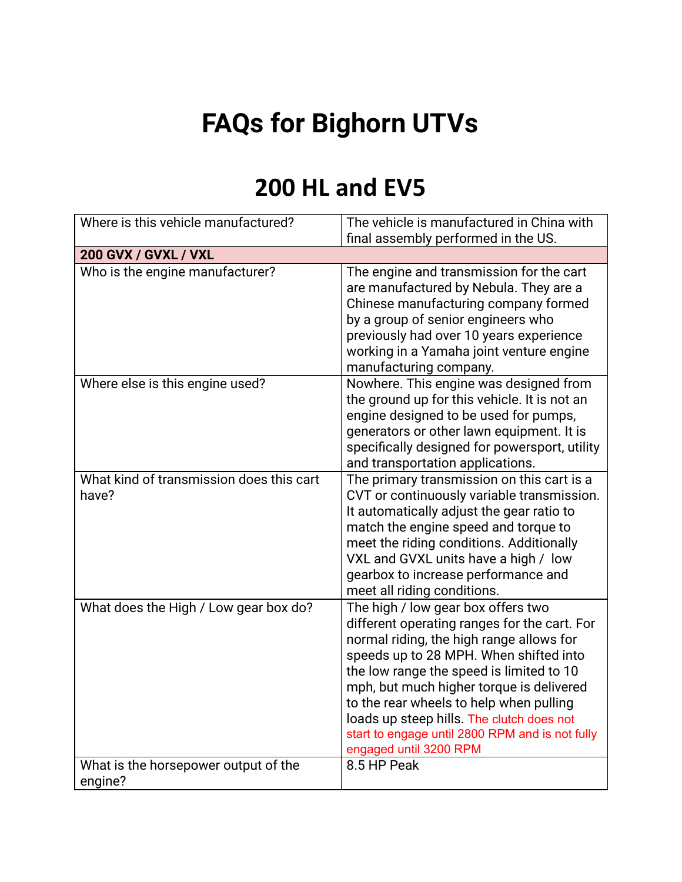## **FAQs for Bighorn UTVs**

## **200 HL and EV5**

| Where is this vehicle manufactured?               | The vehicle is manufactured in China with<br>final assembly performed in the US.                                                                                                                                                                                                                                                                                                                                                      |
|---------------------------------------------------|---------------------------------------------------------------------------------------------------------------------------------------------------------------------------------------------------------------------------------------------------------------------------------------------------------------------------------------------------------------------------------------------------------------------------------------|
| 200 GVX / GVXL / VXL                              |                                                                                                                                                                                                                                                                                                                                                                                                                                       |
| Who is the engine manufacturer?                   | The engine and transmission for the cart<br>are manufactured by Nebula. They are a<br>Chinese manufacturing company formed<br>by a group of senior engineers who<br>previously had over 10 years experience<br>working in a Yamaha joint venture engine<br>manufacturing company.                                                                                                                                                     |
| Where else is this engine used?                   | Nowhere. This engine was designed from<br>the ground up for this vehicle. It is not an<br>engine designed to be used for pumps,<br>generators or other lawn equipment. It is<br>specifically designed for powersport, utility<br>and transportation applications.                                                                                                                                                                     |
| What kind of transmission does this cart<br>have? | The primary transmission on this cart is a<br>CVT or continuously variable transmission.<br>It automatically adjust the gear ratio to<br>match the engine speed and torque to<br>meet the riding conditions. Additionally<br>VXL and GVXL units have a high / low<br>gearbox to increase performance and<br>meet all riding conditions.                                                                                               |
| What does the High / Low gear box do?             | The high / low gear box offers two<br>different operating ranges for the cart. For<br>normal riding, the high range allows for<br>speeds up to 28 MPH. When shifted into<br>the low range the speed is limited to 10<br>mph, but much higher torque is delivered<br>to the rear wheels to help when pulling<br>loads up steep hills. The clutch does not<br>start to engage until 2800 RPM and is not fully<br>engaged until 3200 RPM |
| What is the horsepower output of the<br>engine?   | 8.5 HP Peak                                                                                                                                                                                                                                                                                                                                                                                                                           |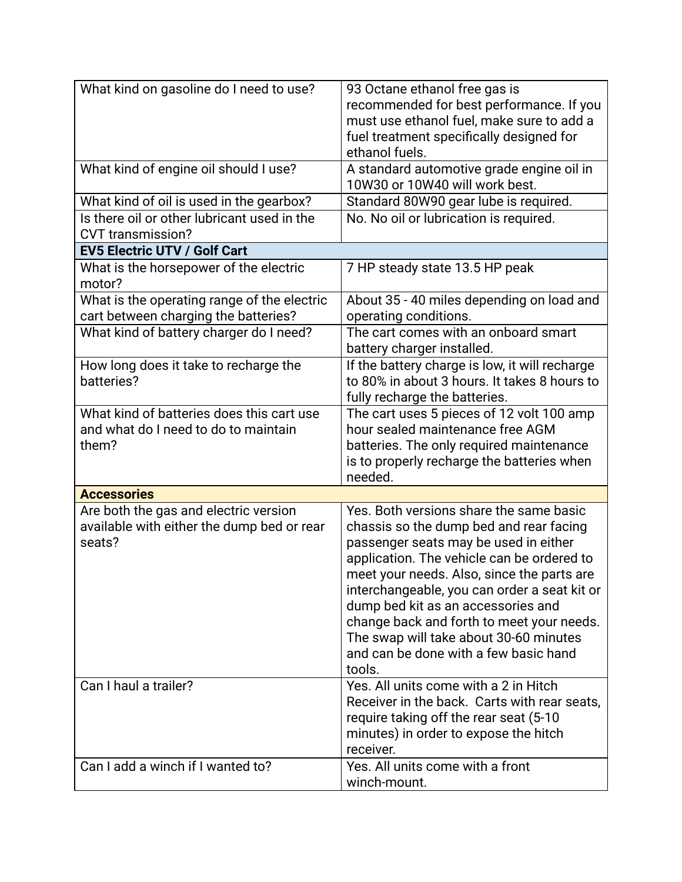| What kind on gasoline do I need to use?          | 93 Octane ethanol free gas is<br>recommended for best performance. If you          |
|--------------------------------------------------|------------------------------------------------------------------------------------|
|                                                  | must use ethanol fuel, make sure to add a                                          |
|                                                  | fuel treatment specifically designed for                                           |
|                                                  | ethanol fuels.                                                                     |
| What kind of engine oil should I use?            | A standard automotive grade engine oil in                                          |
|                                                  | 10W30 or 10W40 will work best.                                                     |
| What kind of oil is used in the gearbox?         | Standard 80W90 gear lube is required.                                              |
| Is there oil or other lubricant used in the      | No. No oil or lubrication is required.                                             |
| <b>CVT</b> transmission?                         |                                                                                    |
| <b>EV5 Electric UTV / Golf Cart</b>              |                                                                                    |
| What is the horsepower of the electric<br>motor? | 7 HP steady state 13.5 HP peak                                                     |
| What is the operating range of the electric      | About 35 - 40 miles depending on load and                                          |
| cart between charging the batteries?             | operating conditions.                                                              |
| What kind of battery charger do I need?          | The cart comes with an onboard smart                                               |
|                                                  | battery charger installed.                                                         |
| How long does it take to recharge the            | If the battery charge is low, it will recharge                                     |
| batteries?                                       | to 80% in about 3 hours. It takes 8 hours to                                       |
|                                                  | fully recharge the batteries.                                                      |
| What kind of batteries does this cart use        | The cart uses 5 pieces of 12 volt 100 amp                                          |
| and what do I need to do to maintain             | hour sealed maintenance free AGM                                                   |
| them?                                            | batteries. The only required maintenance                                           |
|                                                  | is to properly recharge the batteries when                                         |
|                                                  | needed.                                                                            |
| <b>Accessories</b>                               |                                                                                    |
| Are both the gas and electric version            | Yes. Both versions share the same basic                                            |
| available with either the dump bed or rear       | chassis so the dump bed and rear facing                                            |
| seats?                                           | passenger seats may be used in either                                              |
|                                                  | application. The vehicle can be ordered to                                         |
|                                                  | meet your needs. Also, since the parts are                                         |
|                                                  | interchangeable, you can order a seat kit or<br>dump bed kit as an accessories and |
|                                                  | change back and forth to meet your needs.                                          |
|                                                  | The swap will take about 30-60 minutes                                             |
|                                                  | and can be done with a few basic hand                                              |
|                                                  | tools.                                                                             |
| Can I haul a trailer?                            | Yes. All units come with a 2 in Hitch                                              |
|                                                  | Receiver in the back. Carts with rear seats.                                       |
|                                                  | require taking off the rear seat (5-10                                             |
|                                                  | minutes) in order to expose the hitch                                              |
|                                                  | receiver.                                                                          |
| Can I add a winch if I wanted to?                | Yes. All units come with a front                                                   |
|                                                  | winch-mount.                                                                       |